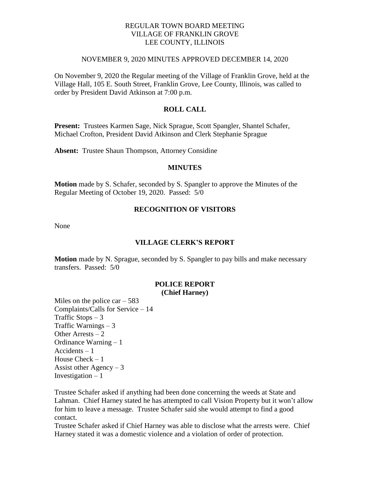### REGULAR TOWN BOARD MEETING VILLAGE OF FRANKLIN GROVE LEE COUNTY, ILLINOIS

### NOVEMBER 9, 2020 MINUTES APPROVED DECEMBER 14, 2020

On November 9, 2020 the Regular meeting of the Village of Franklin Grove, held at the Village Hall, 105 E. South Street, Franklin Grove, Lee County, Illinois, was called to order by President David Atkinson at 7:00 p.m.

## **ROLL CALL**

**Present:** Trustees Karmen Sage, Nick Sprague, Scott Spangler, Shantel Schafer, Michael Crofton, President David Atkinson and Clerk Stephanie Sprague

**Absent:** Trustee Shaun Thompson, Attorney Considine

### **MINUTES**

**Motion** made by S. Schafer, seconded by S. Spangler to approve the Minutes of the Regular Meeting of October 19, 2020. Passed: 5/0

### **RECOGNITION OF VISITORS**

None

### **VILLAGE CLERK'S REPORT**

**Motion** made by N. Sprague, seconded by S. Spangler to pay bills and make necessary transfers. Passed: 5/0

### **POLICE REPORT (Chief Harney)**

Miles on the police car  $-583$ Complaints/Calls for Service – 14 Traffic Stops – 3 Traffic Warnings – 3 Other Arrests – 2 Ordinance Warning – 1 Accidents – 1 House  $Check - 1$ Assist other  $Agency - 3$ Investigation  $-1$ 

Trustee Schafer asked if anything had been done concerning the weeds at State and Lahman. Chief Harney stated he has attempted to call Vision Property but it won't allow for him to leave a message. Trustee Schafer said she would attempt to find a good contact.

Trustee Schafer asked if Chief Harney was able to disclose what the arrests were. Chief Harney stated it was a domestic violence and a violation of order of protection.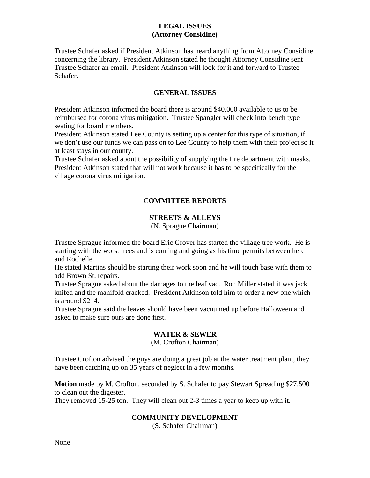# **LEGAL ISSUES (Attorney Considine)**

Trustee Schafer asked if President Atkinson has heard anything from Attorney Considine concerning the library. President Atkinson stated he thought Attorney Considine sent Trustee Schafer an email. President Atkinson will look for it and forward to Trustee Schafer.

## **GENERAL ISSUES**

President Atkinson informed the board there is around \$40,000 available to us to be reimbursed for corona virus mitigation. Trustee Spangler will check into bench type seating for board members.

President Atkinson stated Lee County is setting up a center for this type of situation, if we don't use our funds we can pass on to Lee County to help them with their project so it at least stays in our county.

Trustee Schafer asked about the possibility of supplying the fire department with masks. President Atkinson stated that will not work because it has to be specifically for the village corona virus mitigation.

# C**OMMITTEE REPORTS**

## **STREETS & ALLEYS**

(N. Sprague Chairman)

Trustee Sprague informed the board Eric Grover has started the village tree work. He is starting with the worst trees and is coming and going as his time permits between here and Rochelle.

He stated Martins should be starting their work soon and he will touch base with them to add Brown St. repairs.

Trustee Sprague asked about the damages to the leaf vac. Ron Miller stated it was jack knifed and the manifold cracked. President Atkinson told him to order a new one which is around \$214.

Trustee Sprague said the leaves should have been vacuumed up before Halloween and asked to make sure ours are done first.

## **WATER & SEWER**

(M. Crofton Chairman)

Trustee Crofton advised the guys are doing a great job at the water treatment plant, they have been catching up on 35 years of neglect in a few months.

**Motion** made by M. Crofton, seconded by S. Schafer to pay Stewart Spreading \$27,500 to clean out the digester.

They removed 15-25 ton. They will clean out 2-3 times a year to keep up with it.

# **COMMUNITY DEVELOPMENT**

(S. Schafer Chairman)